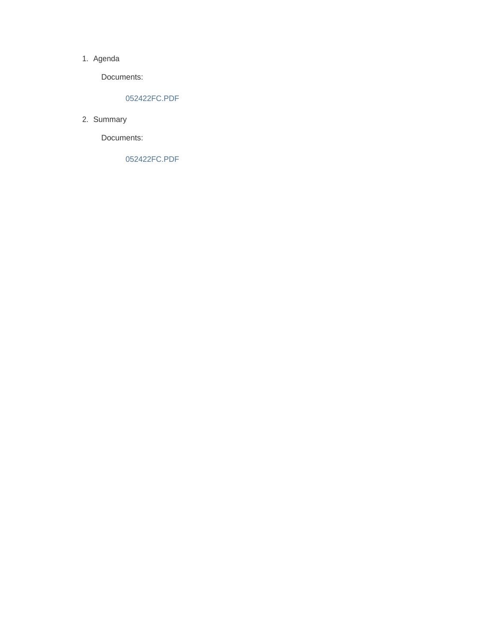#### 1. Agenda

Documents:

#### 052422FC.PDF

2. Summary

Documents:

052422FC.PDF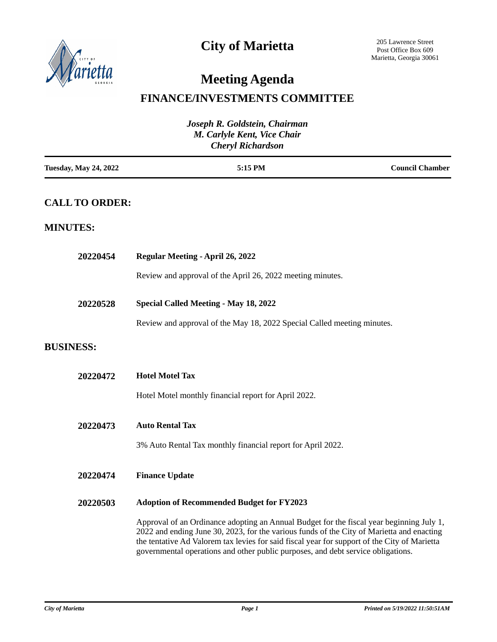

## **City of Marietta**

# **Meeting Agenda**

### **FINANCE/INVESTMENTS COMMITTEE**

| Joseph R. Goldstein, Chairman<br>M. Carlyle Kent, Vice Chair<br><b>Cheryl Richardson</b> |                                                                                                                                                                                                                                                                                                                                                                           |                        |  |
|------------------------------------------------------------------------------------------|---------------------------------------------------------------------------------------------------------------------------------------------------------------------------------------------------------------------------------------------------------------------------------------------------------------------------------------------------------------------------|------------------------|--|
| <b>Tuesday, May 24, 2022</b>                                                             | 5:15 PM                                                                                                                                                                                                                                                                                                                                                                   | <b>Council Chamber</b> |  |
| <b>CALL TO ORDER:</b>                                                                    |                                                                                                                                                                                                                                                                                                                                                                           |                        |  |
| <b>MINUTES:</b>                                                                          |                                                                                                                                                                                                                                                                                                                                                                           |                        |  |
| 20220454                                                                                 | <b>Regular Meeting - April 26, 2022</b>                                                                                                                                                                                                                                                                                                                                   |                        |  |
|                                                                                          | Review and approval of the April 26, 2022 meeting minutes.                                                                                                                                                                                                                                                                                                                |                        |  |
| 20220528                                                                                 | <b>Special Called Meeting - May 18, 2022</b>                                                                                                                                                                                                                                                                                                                              |                        |  |
|                                                                                          | Review and approval of the May 18, 2022 Special Called meeting minutes.                                                                                                                                                                                                                                                                                                   |                        |  |
| <b>BUSINESS:</b>                                                                         |                                                                                                                                                                                                                                                                                                                                                                           |                        |  |
| 20220472                                                                                 | <b>Hotel Motel Tax</b>                                                                                                                                                                                                                                                                                                                                                    |                        |  |
|                                                                                          | Hotel Motel monthly financial report for April 2022.                                                                                                                                                                                                                                                                                                                      |                        |  |
| 20220473                                                                                 | <b>Auto Rental Tax</b>                                                                                                                                                                                                                                                                                                                                                    |                        |  |
|                                                                                          | 3% Auto Rental Tax monthly financial report for April 2022.                                                                                                                                                                                                                                                                                                               |                        |  |
| 20220474                                                                                 | <b>Finance Update</b>                                                                                                                                                                                                                                                                                                                                                     |                        |  |
| 20220503                                                                                 | <b>Adoption of Recommended Budget for FY2023</b>                                                                                                                                                                                                                                                                                                                          |                        |  |
|                                                                                          | Approval of an Ordinance adopting an Annual Budget for the fiscal year beginning July 1,<br>2022 and ending June 30, 2023, for the various funds of the City of Marietta and enacting<br>the tentative Ad Valorem tax levies for said fiscal year for support of the City of Marietta<br>governmental operations and other public purposes, and debt service obligations. |                        |  |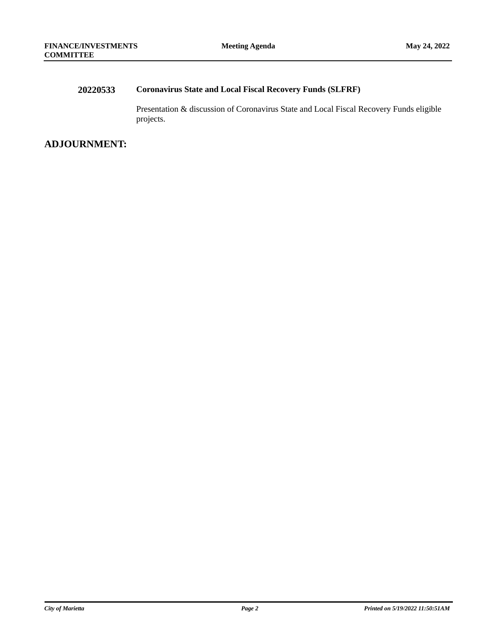### **20220533 Coronavirus State and Local Fiscal Recovery Funds (SLFRF)**

Presentation & discussion of Coronavirus State and Local Fiscal Recovery Funds eligible projects.

### **ADJOURNMENT:**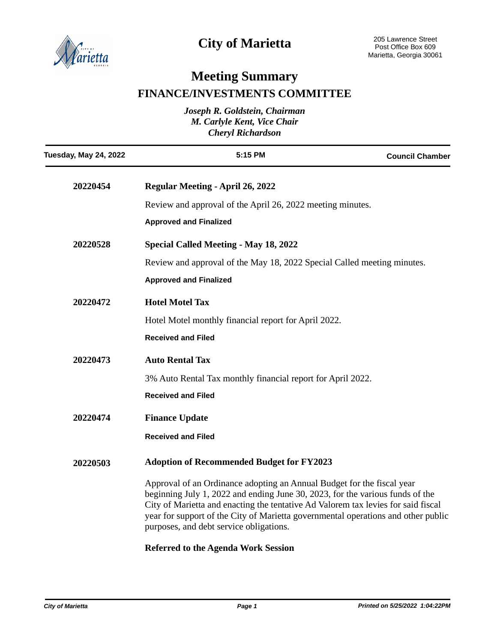

### **City of Marietta**

# **Meeting Summary FINANCE/INVESTMENTS COMMITTEE**

| Joseph R. Goldstein, Chairman<br>M. Carlyle Kent, Vice Chair<br><b>Cheryl Richardson</b> |                                                                                                                                                                                                                                                                                                                                                                              |                        |  |
|------------------------------------------------------------------------------------------|------------------------------------------------------------------------------------------------------------------------------------------------------------------------------------------------------------------------------------------------------------------------------------------------------------------------------------------------------------------------------|------------------------|--|
| <b>Tuesday, May 24, 2022</b>                                                             | 5:15 PM                                                                                                                                                                                                                                                                                                                                                                      | <b>Council Chamber</b> |  |
| 20220454                                                                                 | <b>Regular Meeting - April 26, 2022</b>                                                                                                                                                                                                                                                                                                                                      |                        |  |
|                                                                                          | Review and approval of the April 26, 2022 meeting minutes.                                                                                                                                                                                                                                                                                                                   |                        |  |
|                                                                                          | <b>Approved and Finalized</b>                                                                                                                                                                                                                                                                                                                                                |                        |  |
| 20220528                                                                                 | <b>Special Called Meeting - May 18, 2022</b>                                                                                                                                                                                                                                                                                                                                 |                        |  |
|                                                                                          | Review and approval of the May 18, 2022 Special Called meeting minutes.                                                                                                                                                                                                                                                                                                      |                        |  |
|                                                                                          | <b>Approved and Finalized</b>                                                                                                                                                                                                                                                                                                                                                |                        |  |
| 20220472                                                                                 | <b>Hotel Motel Tax</b>                                                                                                                                                                                                                                                                                                                                                       |                        |  |
|                                                                                          | Hotel Motel monthly financial report for April 2022.                                                                                                                                                                                                                                                                                                                         |                        |  |
|                                                                                          | <b>Received and Filed</b>                                                                                                                                                                                                                                                                                                                                                    |                        |  |
| 20220473                                                                                 | <b>Auto Rental Tax</b>                                                                                                                                                                                                                                                                                                                                                       |                        |  |
|                                                                                          | 3% Auto Rental Tax monthly financial report for April 2022.                                                                                                                                                                                                                                                                                                                  |                        |  |
|                                                                                          | <b>Received and Filed</b>                                                                                                                                                                                                                                                                                                                                                    |                        |  |
| 20220474                                                                                 | <b>Finance Update</b>                                                                                                                                                                                                                                                                                                                                                        |                        |  |
|                                                                                          | <b>Received and Filed</b>                                                                                                                                                                                                                                                                                                                                                    |                        |  |
| 20220503                                                                                 | <b>Adoption of Recommended Budget for FY2023</b>                                                                                                                                                                                                                                                                                                                             |                        |  |
|                                                                                          | Approval of an Ordinance adopting an Annual Budget for the fiscal year<br>beginning July 1, 2022 and ending June 30, 2023, for the various funds of the<br>City of Marietta and enacting the tentative Ad Valorem tax levies for said fiscal<br>year for support of the City of Marietta governmental operations and other public<br>purposes, and debt service obligations. |                        |  |

### **Referred to the Agenda Work Session**